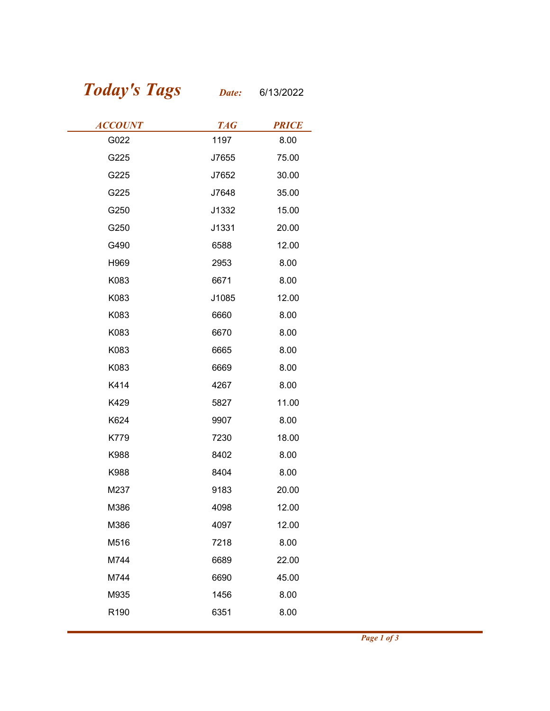## Today's Tags Date: 6/13/2022

| <b>Today's Tags</b> | Date:      | 6/13/2022    |
|---------------------|------------|--------------|
| <b>ACCOUNT</b>      | <b>TAG</b> | <b>PRICE</b> |
| G022                | 1197       | 8.00         |
| G225                | J7655      | 75.00        |
| G225                | J7652      | 30.00        |
| G225                | J7648      | 35.00        |
| G250                | J1332      | 15.00        |
| G250                | J1331      | 20.00        |
| G490                | 6588       | 12.00        |
| H969                | 2953       | 8.00         |
| K083                | 6671       | 8.00         |
| K083                | J1085      | 12.00        |
| K083                | 6660       | 8.00         |
| K083                | 6670       | 8.00         |
| K083                | 6665       | 8.00         |
| K083                | 6669       | 8.00         |
| K414                | 4267       | 8.00         |
| K429                | 5827       | 11.00        |
| K624                | 9907       | 8.00         |
| K779                | 7230       | 18.00        |
| K988                | 8402       | 8.00         |
| K988                | 8404       | 8.00         |
| M237                | 9183       | 20.00        |
| M386                | 4098       | 12.00        |
| M386                | 4097       | 12.00        |
| M516                | 7218       | 8.00         |
| M744                | 6689       | 22.00        |
| M744                | 6690       | 45.00        |
| M935                | 1456       | 8.00         |
| R190                | 6351       | 8.00         |
|                     |            |              |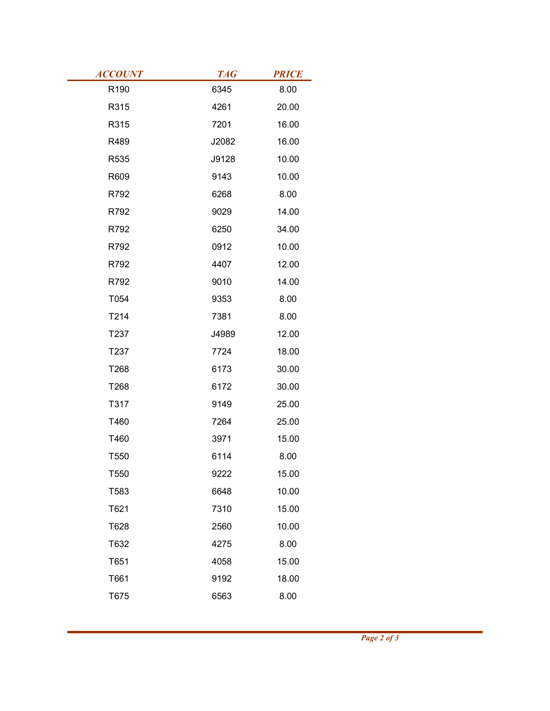| <b>ACCOUNT</b> | <b>TAG</b> | <b>PRICE</b> |
|----------------|------------|--------------|
| R190           | 6345       | 8.00         |
| R315           | 4261       | 20.00        |
| R315           | 7201       | 16.00        |
| R489           | J2082      | 16.00        |
| R535           | J9128      | 10.00        |
| R609           | 9143       | 10.00        |
| R792           | 6268       | 8.00         |
| R792           | 9029       | 14.00        |
| R792           | 6250       | 34.00        |
| R792           | 0912       | 10.00        |
| R792           | 4407       | 12.00        |
| R792           | 9010       | 14.00        |
| T054           | 9353       | 8.00         |
| T214           | 7381       | 8.00         |
| T237           | J4989      | 12.00        |
| T237           | 7724       | 18.00        |
| T268           | 6173       | 30.00        |
| T268           | 6172       | 30.00        |
| T317           | 9149       | 25.00        |
| T460           | 7264       | 25.00        |
| T460           | 3971       | 15.00        |
| T550           | 6114       | 8.00         |
| T550           | 9222       | 15.00        |
| T583           | 6648       | 10.00        |
| T621           | 7310       | 15.00        |
| T628           | 2560       | 10.00        |
| T632           | 4275       | 8.00         |
| T651           | 4058       | 15.00        |
| T661           | 9192       | 18.00        |
| T675           | 6563       | 8.00         |